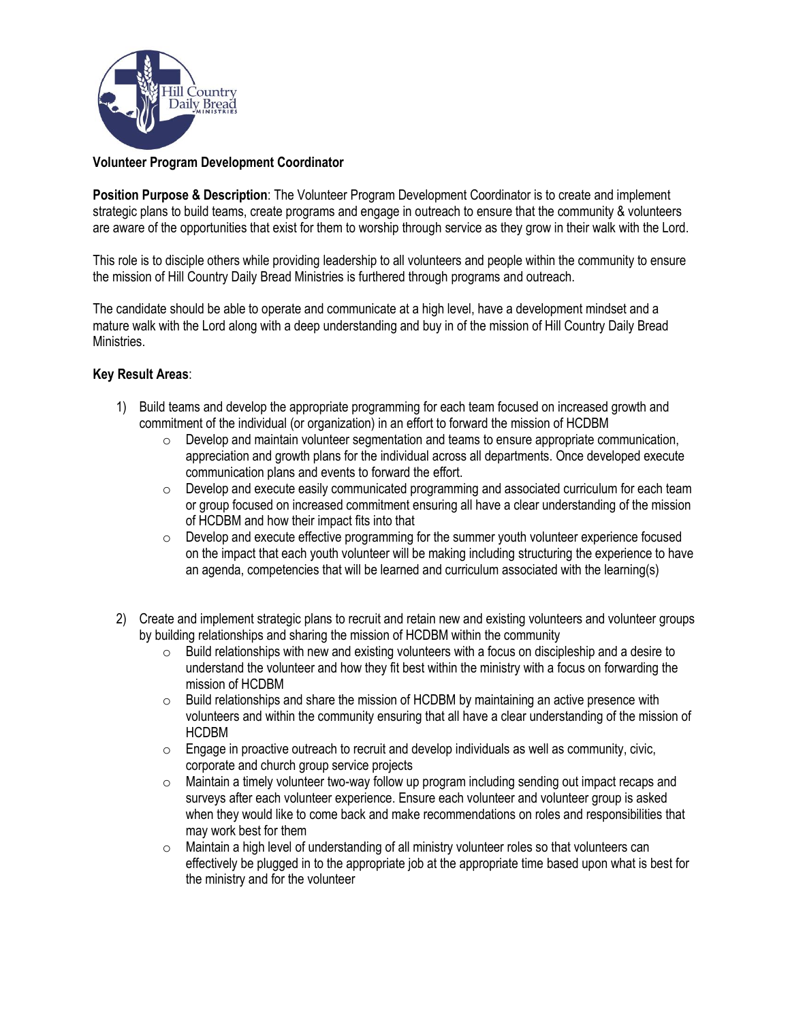

## **Volunteer Program Development Coordinator**

**Position Purpose & Description**: The Volunteer Program Development Coordinator is to create and implement strategic plans to build teams, create programs and engage in outreach to ensure that the community & volunteers are aware of the opportunities that exist for them to worship through service as they grow in their walk with the Lord.

This role is to disciple others while providing leadership to all volunteers and people within the community to ensure the mission of Hill Country Daily Bread Ministries is furthered through programs and outreach.

The candidate should be able to operate and communicate at a high level, have a development mindset and a mature walk with the Lord along with a deep understanding and buy in of the mission of Hill Country Daily Bread Ministries.

## **Key Result Areas**:

- 1) Build teams and develop the appropriate programming for each team focused on increased growth and commitment of the individual (or organization) in an effort to forward the mission of HCDBM
	- $\circ$  Develop and maintain volunteer segmentation and teams to ensure appropriate communication, appreciation and growth plans for the individual across all departments. Once developed execute communication plans and events to forward the effort.
	- $\circ$  Develop and execute easily communicated programming and associated curriculum for each team or group focused on increased commitment ensuring all have a clear understanding of the mission of HCDBM and how their impact fits into that
	- $\circ$  Develop and execute effective programming for the summer youth volunteer experience focused on the impact that each youth volunteer will be making including structuring the experience to have an agenda, competencies that will be learned and curriculum associated with the learning(s)
- 2) Create and implement strategic plans to recruit and retain new and existing volunteers and volunteer groups by building relationships and sharing the mission of HCDBM within the community
	- $\circ$  Build relationships with new and existing volunteers with a focus on discipleship and a desire to understand the volunteer and how they fit best within the ministry with a focus on forwarding the mission of HCDBM
	- $\circ$  Build relationships and share the mission of HCDBM by maintaining an active presence with volunteers and within the community ensuring that all have a clear understanding of the mission of HCDBM
	- $\circ$  Engage in proactive outreach to recruit and develop individuals as well as community, civic, corporate and church group service projects
	- $\circ$  Maintain a timely volunteer two-way follow up program including sending out impact recaps and surveys after each volunteer experience. Ensure each volunteer and volunteer group is asked when they would like to come back and make recommendations on roles and responsibilities that may work best for them
	- $\circ$  Maintain a high level of understanding of all ministry volunteer roles so that volunteers can effectively be plugged in to the appropriate job at the appropriate time based upon what is best for the ministry and for the volunteer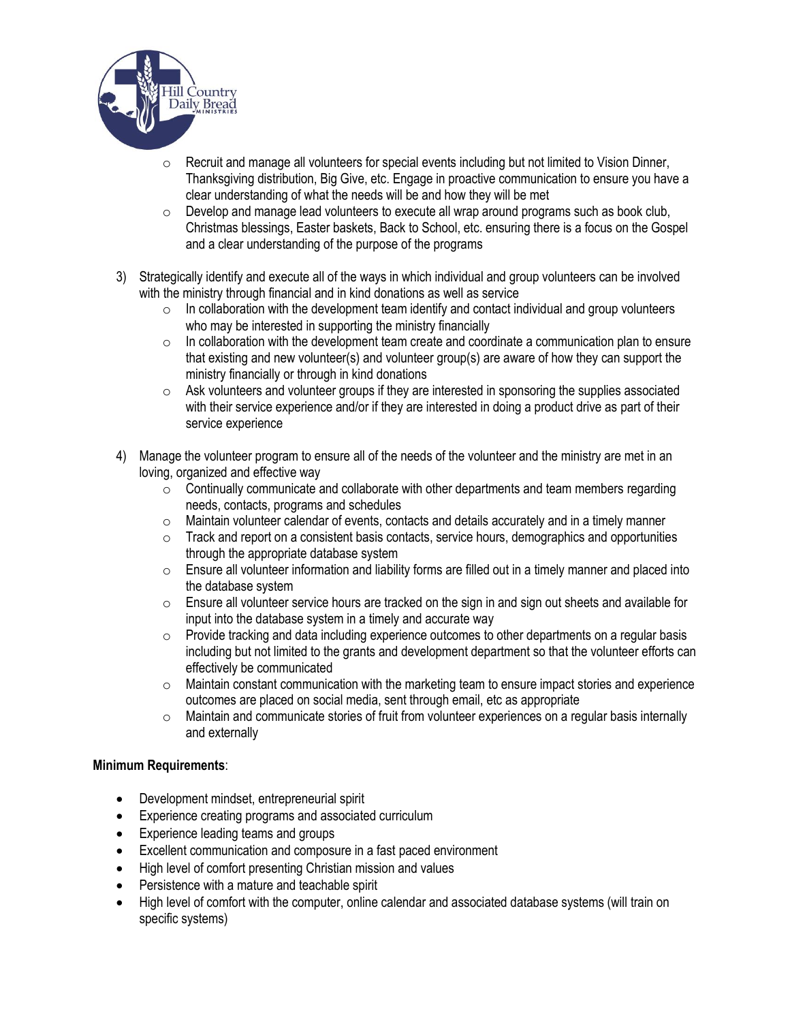

- $\circ$  Recruit and manage all volunteers for special events including but not limited to Vision Dinner, Thanksgiving distribution, Big Give, etc. Engage in proactive communication to ensure you have a clear understanding of what the needs will be and how they will be met
- $\circ$  Develop and manage lead volunteers to execute all wrap around programs such as book club, Christmas blessings, Easter baskets, Back to School, etc. ensuring there is a focus on the Gospel and a clear understanding of the purpose of the programs
- 3) Strategically identify and execute all of the ways in which individual and group volunteers can be involved with the ministry through financial and in kind donations as well as service
	- $\circ$  In collaboration with the development team identify and contact individual and group volunteers who may be interested in supporting the ministry financially
	- $\circ$  In collaboration with the development team create and coordinate a communication plan to ensure that existing and new volunteer(s) and volunteer group(s) are aware of how they can support the ministry financially or through in kind donations
	- o Ask volunteers and volunteer groups if they are interested in sponsoring the supplies associated with their service experience and/or if they are interested in doing a product drive as part of their service experience
- 4) Manage the volunteer program to ensure all of the needs of the volunteer and the ministry are met in an loving, organized and effective way
	- $\circ$  Continually communicate and collaborate with other departments and team members regarding needs, contacts, programs and schedules
	- o Maintain volunteer calendar of events, contacts and details accurately and in a timely manner
	- $\circ$  Track and report on a consistent basis contacts, service hours, demographics and opportunities through the appropriate database system
	- $\circ$  Ensure all volunteer information and liability forms are filled out in a timely manner and placed into the database system
	- $\circ$  Ensure all volunteer service hours are tracked on the sign in and sign out sheets and available for input into the database system in a timely and accurate way
	- $\circ$  Provide tracking and data including experience outcomes to other departments on a regular basis including but not limited to the grants and development department so that the volunteer efforts can effectively be communicated
	- $\circ$  Maintain constant communication with the marketing team to ensure impact stories and experience outcomes are placed on social media, sent through email, etc as appropriate
	- o Maintain and communicate stories of fruit from volunteer experiences on a regular basis internally and externally

## **Minimum Requirements**:

- Development mindset, entrepreneurial spirit
- Experience creating programs and associated curriculum
- Experience leading teams and groups
- Excellent communication and composure in a fast paced environment
- High level of comfort presenting Christian mission and values
- Persistence with a mature and teachable spirit
- High level of comfort with the computer, online calendar and associated database systems (will train on specific systems)